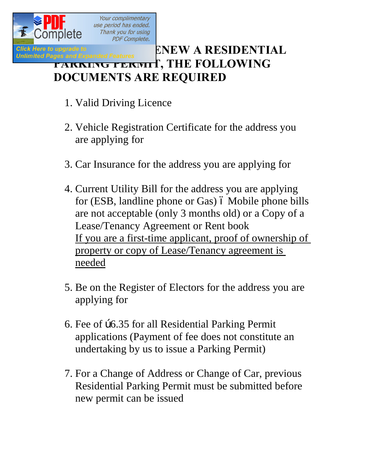

Your complimentary use period has ended. Thank you for using **PDF Complete.** 

## Click Here to upgrade to **Formula CLICK BOOK AND A RESIDENTIAL**<br>Unlimited Pages and Expanded Features **ENEW A RESIDENTIAL PARKING PERMIT, THE FOLLOWING DOCUMENTS ARE REQUIRED**

- 1. Valid Driving Licence
- 2. Vehicle Registration Certificate for the address you are applying for
- 3. Car Insurance for the address you are applying for
- 4. Current Utility Bill for the address you are applying for (ESB, landline phone or Gas)  $\acute{o}$  Mobile phone bills are not acceptable (only 3 months old) or a Copy of a Lease/Tenancy Agreement or Rent book If you are a first-time applicant, proof of ownership of property or copy of Lease/Tenancy agreement is needed
- 5. Be on the Register of Electors for the address you are applying for
- 6. Fee of  $\beta$ 6.35 for all Residential Parking Permit applications (Payment of fee does not constitute an undertaking by us to issue a Parking Permit)
- 7. For a Change of Address or Change of Car, previous Residential Parking Permit must be submitted before new permit can be issued